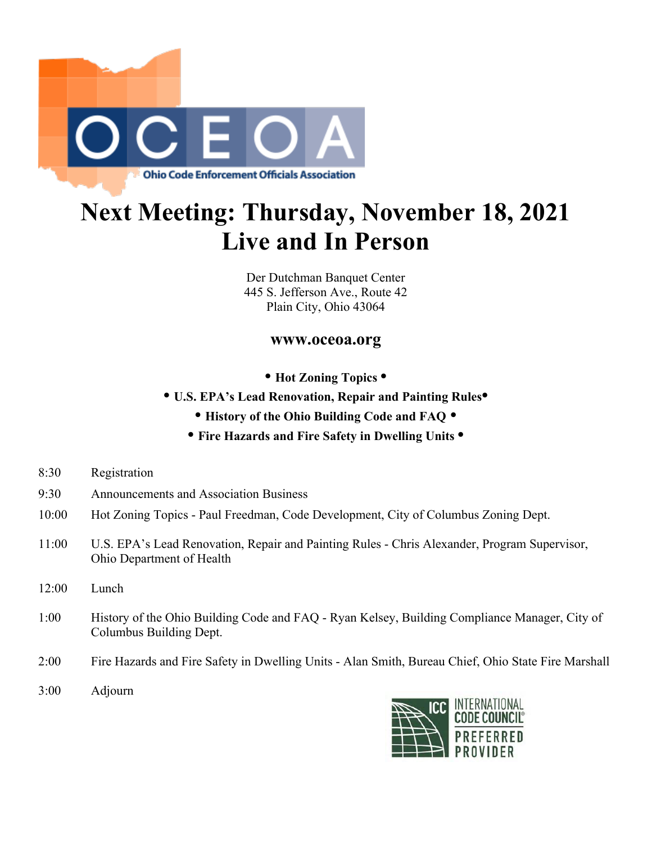

## **Next Meeting: Thursday, November 18, 2021 Live and In Person**

Der Dutchman Banquet Center 445 S. Jefferson Ave., Route 42 Plain City, Ohio 43064

## **www.oceoa.org**

- **Hot Zoning Topics •**
- **U.S. EPA's Lead Renovation, Repair and Painting Rules•**
	- **History of the Ohio Building Code and FAQ •**
	- **• Fire Hazards and Fire Safety in Dwelling Units •**
- 8:30 Registration
- 9:30 Announcements and Association Business
- 10:00 Hot Zoning Topics Paul Freedman, Code Development, City of Columbus Zoning Dept.
- 11:00 U.S. EPA's Lead Renovation, Repair and Painting Rules Chris Alexander, Program Supervisor, Ohio Department of Health
- 12:00 Lunch
- 1:00 History of the Ohio Building Code and FAQ Ryan Kelsey, Building Compliance Manager, City of Columbus Building Dept.
- 2:00 Fire Hazards and Fire Safety in Dwelling Units Alan Smith, Bureau Chief, Ohio State Fire Marshall
- 3:00 Adjourn